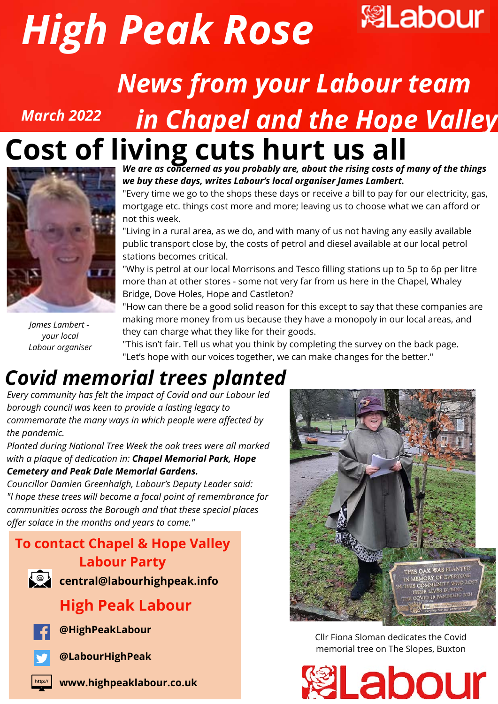



# *News from your Labour team in Chapel and the Hope Valley*



*March 2022*

**Cost of living cuts hurt us all** *We are as concerned as you probably are, about the rising costs of many of the things we buy these days, writes Labour's local organiser James Lambert.*

we day these days, three davours recently annouly milled daments.<br>"Every time we go to the shops these days or receive a bill to pay for our electricity, gas, mortgage etc. things cost more and more; leaving us to choose what we can afford or not this week.

"Living in a rural area, as we do, and with many of us not having any easily available public transport close by, the costs of petrol and diesel available at our local petrol stations becomes critical.

"Why is petrol at our local Morrisons and Tesco filling stations up to 5p to 6p per litre more than at other stores - some not very far from us here in the Chapel, Whaley Bridge, Dove Holes, Hope and Castleton?

*James Lambert your local Labour organiser*

"How can there be a good solid reason for this except to say that these companies are making more money from us because they have a monopoly in our local areas, and they can charge what they like for their goods.

"This isn't fair. Tell us what you think by completing the survey on the back page. "Let's hope with our voices together, we can make changes for the better."

### *Covid memorial trees planted*

*Every community has felt the impact of Covid and our Labour led borough council was keen to provide a lasting legacy to commemorate the many ways in which people were affected by the pandemic.*

*Planted during National Tree Week the oak trees were all marked with a plaque of dedication in: Chapel Memorial Park, Hope Cemetery and Peak Dale Memorial Gardens.*

*Councillor Damien Greenhalgh, Labour's Deputy Leader said: "I hope these trees will become a focal point of remembrance for communities across the Borough and that these special places offer solace in the months and years to come."*

#### **To contact Chapel & Hope Valley Labour Party**



**central@labourhighpeak.info**

### **High Peak Labour**



**@HighPeakLabour**



**@LabourHighPeak**





Cllr Fiona Sloman dedicates the Covid memorial tree on The Slopes, Buxton